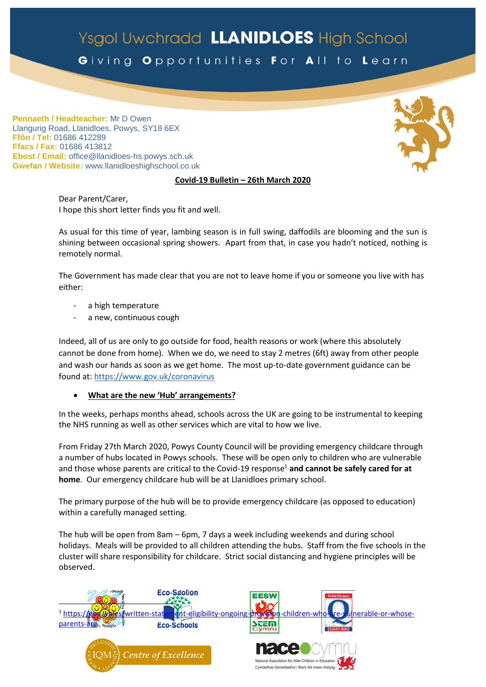# Ysgol Uwchradd LLANIDLOES High School

Giving Opportunities For All to Learn

**Pennaeth / Headteacher:** Mr D Owen Llangurig Road, Llanidloes, Powys, SY18 6EX **Ffôn / Tel:** 01686 412289 **Ffacs / Fax:** 01686 413812 **Ebost / Email:** office@llanidloes-hs.powys.sch.uk **Gwefan / Website:** www.llanidloeshighschool.co.uk

## **Covid-19 Bulletin – 26th March 2020**

Dear Parent/Carer, I hope this short letter finds you fit and well.

As usual for this time of year, lambing season is in full swing, daffodils are blooming and the sun is shining between occasional spring showers. Apart from that, in case you hadn't noticed, nothing is remotely normal.

The Government has made clear that you are not to leave home if you or someone you live with has either:

- a high temperature
- a new, continuous cough

Indeed, all of us are only to go outside for food, health reasons or work (where this absolutely cannot be done from home). When we do, we need to stay 2 metres (6ft) away from other people and wash our hands as soon as we get home. The most up-to-date government guidance can be found at[: https://www.gov.uk/coronavirus](https://www.gov.uk/coronavirus)

#### **What are the new 'Hub' arrangements?**

In the weeks, perhaps months ahead, schools across the UK are going to be instrumental to keeping the NHS running as well as other services which are vital to how we live.

From Friday 27th March 2020, Powys County Council will be providing emergency childcare through a number of hubs located in Powys schools. These will be open only to children who are vulnerable and those whose parents are critical to the Covid-19 response<sup>1</sup> and cannot be safely cared for at **home**. Our emergency childcare hub will be at Llanidloes primary school.

The primary purpose of the hub will be to provide emergency childcare (as opposed to education) within a carefully managed setting.

The hub will be open from 8am – 6pm, 7 days a week including weekends and during school holidays. Meals will be provided to all children attending the hubs. Staff from the five schools in the cluster will share responsibility for childcare. Strict social distancing and hygiene principles will be observed.



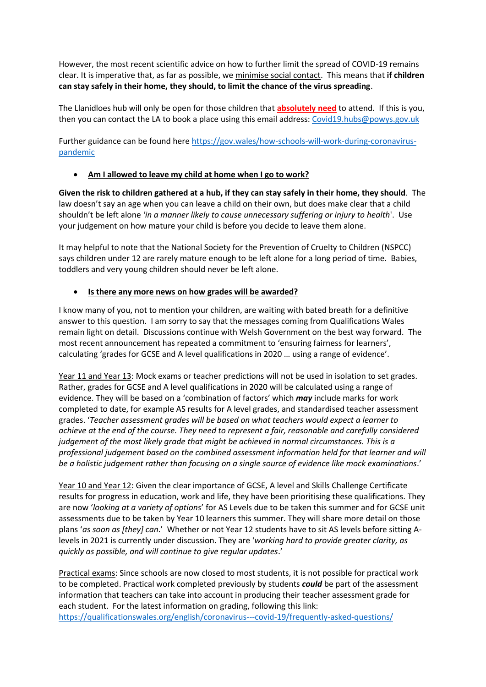However, the most recent scientific advice on how to further limit the spread of COVID-19 remains clear. It is imperative that, as far as possible, we minimise social contact. This means that **if children can stay safely in their home, they should, to limit the chance of the virus spreading**.

The Llanidloes hub will only be open for those children that **absolutely need** to attend. If this is you, then you can contact the LA to book a place using this email address: [Covid19.hubs@powys.gov.uk](mailto:Covid19.hubs@powys.gov.uk)

Further guidance can be found here [https://gov.wales/how-schools-will-work-during-coronavirus](https://gov.wales/how-schools-will-work-during-coronavirus-pandemic)[pandemic](https://gov.wales/how-schools-will-work-during-coronavirus-pandemic)

**Am I allowed to leave my child at home when I go to work?**

**Given the risk to children gathered at a hub, if they can stay safely in their home, they should**. The law doesn't say an age when you can leave a child on their own, but does make clear that a child shouldn't be left alone *'in a manner likely to cause unnecessary suffering or injury to health*'. Use your judgement on how mature your child is before you decide to leave them alone.

It may helpful to note that the National Society for the Prevention of Cruelty to Children (NSPCC) says children under 12 are rarely mature enough to be left alone for a long period of time. Babies, toddlers and very young children should never be left alone.

# **Is there any more news on how grades will be awarded?**

I know many of you, not to mention your children, are waiting with bated breath for a definitive answer to this question. I am sorry to say that the messages coming from Qualifications Wales remain light on detail. Discussions continue with Welsh Government on the best way forward. The most recent announcement has repeated a commitment to 'ensuring fairness for learners', calculating 'grades for GCSE and A level qualifications in 2020 … using a range of evidence'.

Year 11 and Year 13: Mock exams or teacher predictions will not be used in isolation to set grades. Rather, grades for GCSE and A level qualifications in 2020 will be calculated using a range of evidence. They will be based on a 'combination of factors' which *may* include marks for work completed to date, for example AS results for A level grades, and standardised teacher assessment grades. '*Teacher assessment grades will be based on what teachers would expect a learner to achieve at the end of the course. They need to represent a fair, reasonable and carefully considered judgement of the most likely grade that might be achieved in normal circumstances. This is a professional judgement based on the combined assessment information held for that learner and will be a holistic judgement rather than focusing on a single source of evidence like mock examinations*.'

Year 10 and Year 12: Given the clear importance of GCSE, A level and Skills Challenge Certificate results for progress in education, work and life, they have been prioritising these qualifications. They are now '*looking at a variety of options*' for AS Levels due to be taken this summer and for GCSE unit assessments due to be taken by Year 10 learners this summer. They will share more detail on those plans '*as soon as [they] can*.' Whether or not Year 12 students have to sit AS levels before sitting Alevels in 2021 is currently under discussion. They are '*working hard to provide greater clarity, as quickly as possible, and will continue to give regular updates*.'

Practical exams: Since schools are now closed to most students, it is not possible for practical work to be completed. Practical work completed previously by students *could* be part of the assessment information that teachers can take into account in producing their teacher assessment grade for each student. For the latest information on grading, following this link: <https://qualificationswales.org/english/coronavirus---covid-19/frequently-asked-questions/>